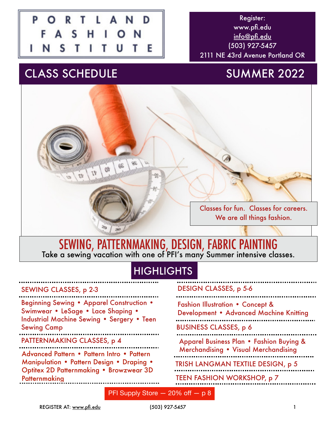

Register: www.pfi.edu [info@pfi.edu](mailto:info@pfi.edu) (503) 927-5457 2111 NE 43rd Avenue Portland OR

# CLASS SCHEDULE SUMMER 2022



## SEWING, PATTERNMAKING, DESIGN, FABRIC PAINTING Take a sewing vacation with one of PFI's many Summer intensive classes.

# **HIGHLIGHTS**

#### SEWING CLASSES, p 2-3

| <b>Beginning Sewing • Apparel Construction •</b><br>Swimwear • LeSage • Lace Shaping •<br>Industrial Machine Sewing . Sergery . Teen<br><b>Sewing Camp</b> |
|------------------------------------------------------------------------------------------------------------------------------------------------------------|
| PATTERNMAKING CLASSES, p 4                                                                                                                                 |
| Advanced Pattern . Pattern Intro . Pattern<br><b>Manipulation • Pattern Design • Draping •</b><br>Optitex 2D Patternmaking . Browzwear 3D<br>Patternmaking |

### DESIGN CLASSES, p 5-6

| <b>Fashion Illustration • Concept &amp;</b><br>Development . Advanced Machine Knitting |
|----------------------------------------------------------------------------------------|
| <b>BUSINESS CLASSES, p 6</b>                                                           |
| Apparel Business Plan . Fashion Buying &<br>Merchandising . Visual Merchandising       |
| TRISH LANGMAN TEXTILE DESIGN, p 5                                                      |
| <b>TEEN FASHION WORKSHOP, p 7</b>                                                      |
|                                                                                        |

PFI Supply Store — 20% off — p 8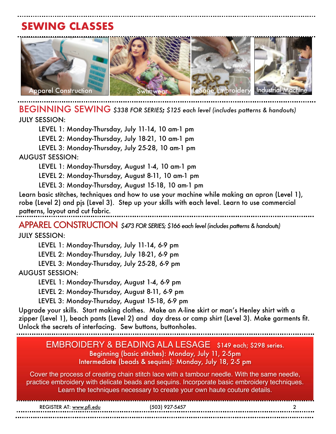# **SEWING CLASSES**



Couture Dress BEGINNING SEWING *\$338 FOR SERIES***;** *\$125 each level (includes patterns & handouts)*

JULY SESSION:

LEVEL 1: Monday-Thursday, July 11-14, 10 am-1 pm LEVEL 2: Monday-Thursday, July 18-21, 10 am-1 pm LEVEL 3: Monday-Thursday, July 25-28, 10 am-1 pm AUGUST SESSION:

LEVEL 1: Monday-Thursday, August 1-4, 10 am-1 pm

LEVEL 2: Monday-Thursday, August 8-11, 10 am-1 pm

LEVEL 3: Monday-Thursday, August 15-18, 10 am-1 pm

Learn basic stitches, techniques and how to use your machine while making an apron (Level 1), robe (Level 2) and pjs (Level 3). Step up your skills with each level. Learn to use commercial patterns, layout and cut fabric*.*

APPAREL CONSTRUCTION *\$473 FOR SERIES; \$166 each level (includes patterns & handouts)* JULY SESSION:

LEVEL 1: Monday-Thursday, July 11-14, 6-9 pm

LEVEL 2: Monday-Thursday, July 18-21, 6-9 pm

LEVEL 3: Monday-Thursday, July 25-28, 6-9 pm AUGUST SESSION:

LEVEL 1: Monday-Thursday, August 1-4, 6-9 pm

LEVEL 2: Monday-Thursday, August 8-11, 6-9 pm

LEVEL 3: Monday-Thursday, August 15-18, 6-9 pm

Upgrade your skills. Start making clothes. Make an A-line skirt or man's Henley shirt with a zipper (Level 1), beach pants (Level 2) and day dress or camp shirt (Level 3). Make garments fit. Unlock the secrets of interfacing. Sew buttons, buttonholes.

#### EMBROIDERY & BEADING ALA LESAGE\$149 each; \$298 series. Beginning (basic stitches): Monday, July 11, 2-5pm Intermediate (beads & sequins): Monday, July 18, 2-5 pm

Cover the process of creating chain stitch lace with a tambour needle. With the same needle, practice embroidery with delicate beads and sequins. Incorporate basic embroidery techniques. Learn the techniques necessary to create your own haute couture details.

| REGISTER AT: www.pfi.edu | :503) 927-5457 |  |
|--------------------------|----------------|--|
|                          |                |  |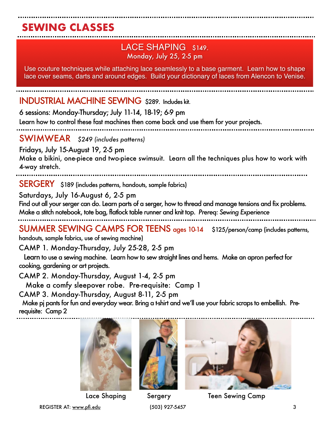# **SEWING CLASSES**

## LACE SHAPING\$149. Monday, July 25, 2-5 pm

Use couture techniques while attaching lace seamlessly to a base garment. Learn how to shape lace over seams, darts and around edges. Build your dictionary of laces from Alencon to Venise.

### INDUSTRIAL MACHINE SEWING \$289. Includes kit.

6 sessions: Monday-Thursday; July 11-14, 18-19; 6-9 pm

Learn how to control these fast machines then come back and use them for your projects.

SWIMWEAR *\$249 (includes patterns)*

Fridays, July 15-August 19, 2-5 pm Make a bikini, one-piece and two-piece swimsuit. Learn all the techniques plus how to work with 4-way stretch.

SERGERY \$189 (includes patterns, handouts, sample fabrics)

Saturdays, July 16-August 6, 2-5 pm

Find out all your serger can do. Learn parts of a serger, how to thread and manage tensions and fix problems. Make a stitch notebook, tote bag, flatlock table runner and knit top. *Prereq: Sewing Experience*

SUMMER SEWING CAMPS FOR TEENS ages 10-14 \$125/person/camp (includes patterns,

handouts, sample fabrics, use of sewing machine)

CAMP 1. Monday-Thursday, July 25-28, 2-5 pm

 Learn to use a sewing machine. Learn how to sew straight lines and hems. Make an apron perfect for cooking, gardening or art projects.

CAMP 2. Monday-Thursday, August 1-4, 2-5 pm

Make a comfy sleepover robe. Pre-requisite: Camp 1

CAMP 3. Monday-Thursday, August 8-11, 2-5 pm

 Make pj pants for fun and everyday wear. Bring a t-shirt and we'll use your fabric scraps to embellish. Prerequisite: Camp 2







Lace Shaping Sergery Teen Sewing Camp

REGISTER AT: [www.pfi.edu](http://www.pfi.edu) (503) 927-5457 3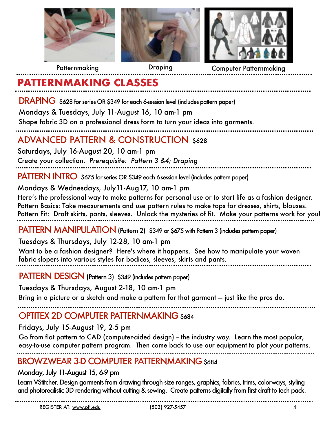

Patternmaking

Draping Computer Patternmaking

## **PATTERNMAKING CLASSES**

DRAPING \$628 for series OR \$349 for each 6-session level (includes pattern paper)

Mondays & Tuesdays, July 11-August 16, 10 am-1 pm

Shape fabric 3D on a professional dress form to turn your ideas into garments.

## ADVANCED PATTERN & CONSTRUCTION \$628

Saturdays, July 16-August 20, 10 am-1 pm Create your collection. *Prerequisite: Pattern 3 &4; Draping*

PATTERN INTRO \$675 for series OR \$349 each 6-session level (includes pattern paper)

Mondays & Wednesdays, July11-Aug17, 10 am-1 pm

Here's the professional way to make patterns for personal use or to start life as a fashion designer. Pattern Basics: Take measurements and use pattern rules to make tops for dresses, shirts, blouses. Pattern Fit: Draft skirts, pants, sleeves. Unlock the mysteries of fit. Make your patterns work for you!

PATTERN MANIPULATION (Pattern 2) \$349 or \$675 with Pattern 3 (includes pattern paper)

Tuesdays & Thursdays, July 12-28, 10 am-1 pm

Want to be a fashion designer? Here's where it happens. See how to manipulate your woven fabric slopers into various styles for bodices, sleeves, skirts and pants.

PATTERN DESIGN (Pattern 3) \$349 (includes pattern paper)

Tuesdays & Thursdays, August 2-18, 10 am-1 pm

Bring in a picture or a sketch and make a pattern for that garment — just like the pros do.

## OPTITEX 2D COMPUTER PATTERNMAKING \$684

Fridays, July 15-August 19, 2-5 pm

Go from flat pattern to CAD (computer-aided design) – the industry way. Learn the most popular, easy-to-use computer pattern program. Then come back to use our equipment to plot your patterns.

## BROWZWEAR 3-D COMPUTER PATTERNMAKING \$684

### Monday, July 11-August 15, 6-9 pm

Learn VStitcher. Design garments from drawing through size ranges, graphics, fabrics, trims, colorways, styling and photorealistic 3D rendering without cutting & sewing. Create patterns digitally from first draft to tech pack.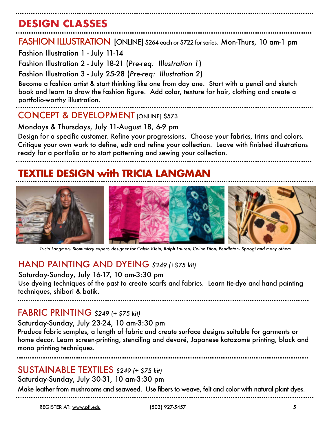# **DESIGN CLASSES**

FASHION ILLUSTRATION [ONLINE] \$264 each or \$722 for series. Mon-Thurs, 10 am-1 pm

Fashion Illustration 1 - July 11-14

Fashion Illustration 2 - July 18-21 (*Pre-req: Illustration 1*)

Fashion Illustration 3 - July 25-28 (*Pre-req: Illustration 2*)

Become a fashion artist & start thinking like one from day one. Start with a pencil and sketch book and learn to draw the fashion figure. Add color, texture for hair, clothing and create a portfolio-worthy illustration.

### CONCEPT & DEVELOPMENT **IONLINEI** \$573

Mondays & Thursdays, July 11-August 18, 6-9 pm

Design for a specific customer. Refine your progressions. Choose your fabrics, trims and colors. Critique your own work to define, edit and refine your collection. Leave with finished illustrations ready for a portfolio or to start patterning and sewing your collection.

## **XTILE DESIGN with TRICIA LANGMAN**



*Tricia Langman, Biomimicry expert, designer for Calvin Klein, Ralph Lauren, Celine Dion, Pendleton, Spoogi and many others.*

## HAND PAINTING AND DYEING *\$249 (+\$75 kit)*

#### Saturday-Sunday, July 16-17, 10 am-3:30 pm

Use dyeing techniques of the past to create scarfs and fabrics. Learn tie-dye and hand painting techniques, shibori & batik.

### FABRIC PRINTING *\$249 (+ \$75 kit)*

Saturday-Sunday, July 23-24, 10 am-3:30 pm

Produce fabric samples, a length of fabric and create surface designs suitable for garments or home decor. Learn screen-printing, stenciling and devoré, Japanese katazome printing, block and mono printing techniques.

## SUSTAINABLE TEXTILES *\$249 (+ \$75 kit)*

Saturday-Sunday, July 30-31, 10 am-3:30 pm

Make leather from mushrooms and seaweed. Use fibers to weave, felt and color with natural plant dyes.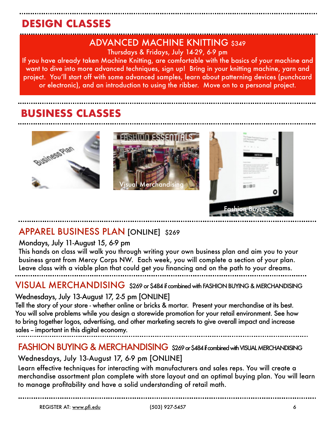# **DESIGN CLASSES**

# ADVANCED MACHINE KNITTING \$349

Thursdays & Fridays, July 14-29, 6-9 pm

If you have already taken Machine Knitting, are comfortable with the basics of your machine and want to dive into more advanced techniques, sign up! Bring in your knitting machine, yarn and project. You'll start off with some advanced samples, learn about patterning devices (punchcard or electronic), and an introduction to using the ribber. Move on to a personal project.

## **BUSINESS CLASSES**



## APPAREL BUSINESS PLAN [ONLINE] \$269

#### Mondays, July 11-August 15, 6-9 pm

This hands on class will walk you through writing your own business plan and aim you to your business grant from Mercy Corps NW. Each week, you will complete a section of your plan. Leave class with a viable plan that could get you financing and on the path to your dreams.

VISUAL MERCHANDISING \$269 or \$484 if combined with FASHION BUYING & MERCHANDISING

### Wednesdays, July 13-August 17, 2-5 pm [ONLINE]

Tell the story of your store - whether online or bricks & mortar. Present your merchandise at its best. You will solve problems while you design a storewide promotion for your retail environment. See how to bring together logos, advertising, and other marketing secrets to give overall impact and increase sales – important in this digital economy.

## FASHION BUYING & MERCHANDISING \$269 or \$484 if combined with VISUAL MERCHANDISING

### Wednesdays, July 13-August 17, 6-9 pm [ONLINE]

Learn effective techniques for interacting with manufacturers and sales reps. You will create a merchandise assortment plan complete with store layout and an optimal buying plan. You will learn to manage profitability and have a solid understanding of retail math.

REGISTER AT: [www.pfi.edu](http://www.pfi.edu) (503) 927-5457 6

Fashion Buying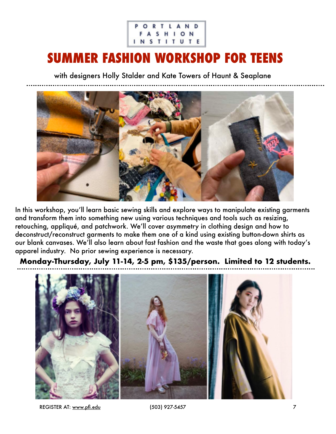#### ORTLAND FASHION **INSTITUTE**

# **SUMMER FASHION WORKSHOP FOR TEENS**

with designers Holly Stalder and Kate Towers of Haunt & Seaplane



In this workshop, you'll learn basic sewing skills and explore ways to manipulate existing garments and transform them into something new using various techniques and tools such as resizing, retouching, appliqué, and patchwork. We'll cover asymmetry in clothing design and how to deconstruct/reconstruct garments to make them one of a kind using existing button-down shirts as our blank canvases. We'll also learn about fast fashion and the waste that goes along with today's apparel industry. No prior sewing experience is necessary.

**Monday-Thursday, July 11-14, 2-5 pm, \$135/person. Limited to 12 students.**



REGISTER AT: [www.pfi.edu](http://www.pfi.edu) (503) 927-5457 7